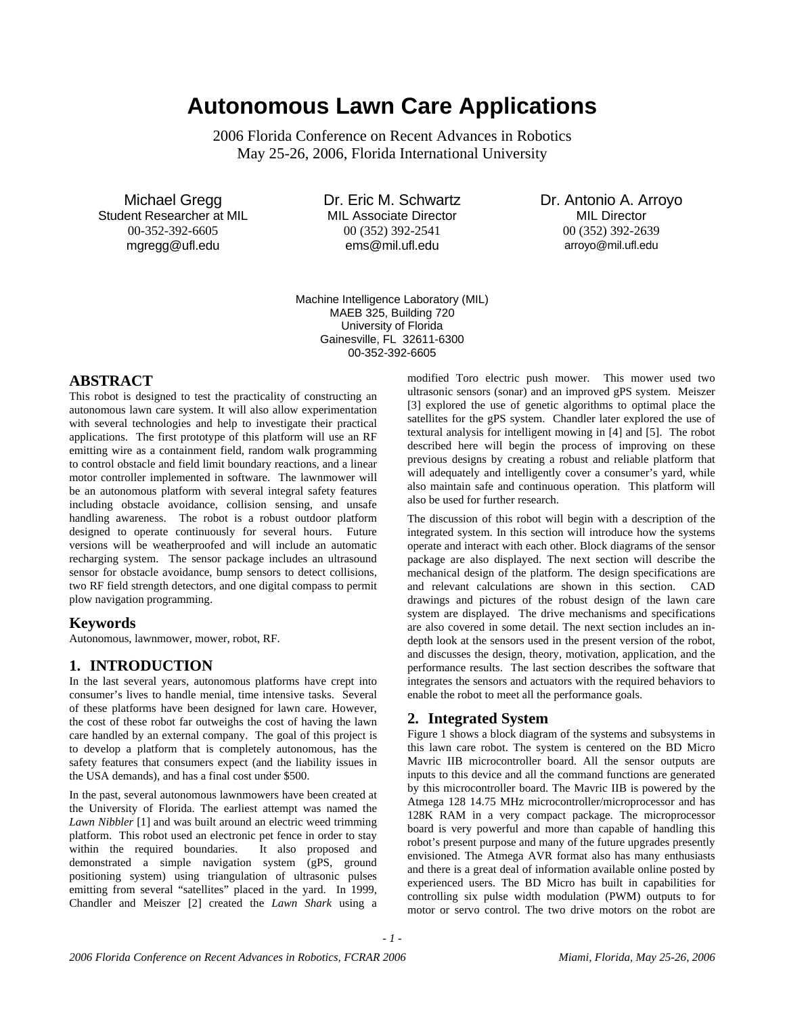# **Autonomous Lawn Care Applications**

2006 Florida Conference on Recent Advances in Robotics May 25-26, 2006, Florida International University

Michael Gregg Student Researcher at MIL 00-352-392-6605 mgregg@ufl.edu

Dr. Eric M. Schwartz MIL Associate Director 00 (352) 392-2541 ems@mil.ufl.edu

Dr. Antonio A. Arroyo MIL Director 00 (352) 392-2639 arroyo@mil.ufl.edu

Machine Intelligence Laboratory (MIL) MAEB 325, Building 720 University of Florida Gainesville, FL 32611-6300 00-352-392-6605

#### **ABSTRACT**

This robot is designed to test the practicality of constructing an autonomous lawn care system. It will also allow experimentation with several technologies and help to investigate their practical applications. The first prototype of this platform will use an RF emitting wire as a containment field, random walk programming to control obstacle and field limit boundary reactions, and a linear motor controller implemented in software. The lawnmower will be an autonomous platform with several integral safety features including obstacle avoidance, collision sensing, and unsafe handling awareness. The robot is a robust outdoor platform designed to operate continuously for several hours. Future versions will be weatherproofed and will include an automatic recharging system. The sensor package includes an ultrasound sensor for obstacle avoidance, bump sensors to detect collisions, two RF field strength detectors, and one digital compass to permit plow navigation programming.

#### **Keywords**

Autonomous, lawnmower, mower, robot, RF.

#### **1. INTRODUCTION**

In the last several years, autonomous platforms have crept into consumer's lives to handle menial, time intensive tasks. Several of these platforms have been designed for lawn care. However, the cost of these robot far outweighs the cost of having the lawn care handled by an external company. The goal of this project is to develop a platform that is completely autonomous, has the safety features that consumers expect (and the liability issues in the USA demands), and has a final cost under \$500.

In the past, several autonomous lawnmowers have been created at the University of Florida. The earliest attempt was named the *Lawn Nibbler* [1] and was built around an electric weed trimming platform. This robot used an electronic pet fence in order to stay within the required boundaries. It also proposed and demonstrated a simple navigation system (gPS, ground positioning system) using triangulation of ultrasonic pulses emitting from several "satellites" placed in the yard. In 1999, Chandler and Meiszer [2] created the *Lawn Shark* using a

modified Toro electric push mower. This mower used two ultrasonic sensors (sonar) and an improved gPS system. Meiszer [3] explored the use of genetic algorithms to optimal place the satellites for the gPS system. Chandler later explored the use of textural analysis for intelligent mowing in [4] and [5]. The robot described here will begin the process of improving on these previous designs by creating a robust and reliable platform that will adequately and intelligently cover a consumer's yard, while also maintain safe and continuous operation. This platform will also be used for further research.

The discussion of this robot will begin with a description of the integrated system. In this section will introduce how the systems operate and interact with each other. Block diagrams of the sensor package are also displayed. The next section will describe the mechanical design of the platform. The design specifications are and relevant calculations are shown in this section. CAD drawings and pictures of the robust design of the lawn care system are displayed. The drive mechanisms and specifications are also covered in some detail. The next section includes an indepth look at the sensors used in the present version of the robot, and discusses the design, theory, motivation, application, and the performance results. The last section describes the software that integrates the sensors and actuators with the required behaviors to enable the robot to meet all the performance goals.

#### **2. Integrated System**

Figure 1 shows a block diagram of the systems and subsystems in this lawn care robot. The system is centered on the BD Micro Mavric IIB microcontroller board. All the sensor outputs are inputs to this device and all the command functions are generated by this microcontroller board. The Mavric IIB is powered by the Atmega 128 14.75 MHz microcontroller/microprocessor and has 128K RAM in a very compact package. The microprocessor board is very powerful and more than capable of handling this robot's present purpose and many of the future upgrades presently envisioned. The Atmega AVR format also has many enthusiasts and there is a great deal of information available online posted by experienced users. The BD Micro has built in capabilities for controlling six pulse width modulation (PWM) outputs to for motor or servo control. The two drive motors on the robot are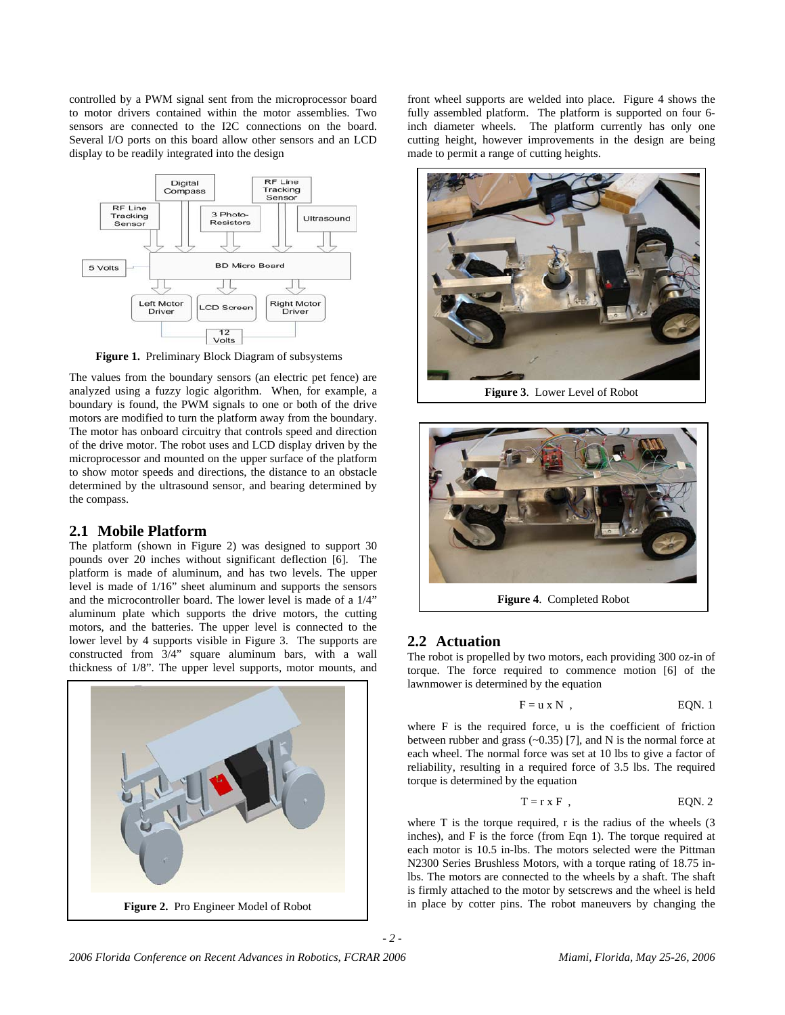controlled by a PWM signal sent from the microprocessor board to motor drivers contained within the motor assemblies. Two sensors are connected to the I2C connections on the board. Several I/O ports on this board allow other sensors and an LCD display to be readily integrated into the design



**Figure 1.** Preliminary Block Diagram of subsystems

The values from the boundary sensors (an electric pet fence) are analyzed using a fuzzy logic algorithm. When, for example, a boundary is found, the PWM signals to one or both of the drive motors are modified to turn the platform away from the boundary. The motor has onboard circuitry that controls speed and direction of the drive motor. The robot uses and LCD display driven by the microprocessor and mounted on the upper surface of the platform to show motor speeds and directions, the distance to an obstacle determined by the ultrasound sensor, and bearing determined by the compass.

#### **2.1 Mobile Platform**

The platform (shown in Figure 2) was designed to support 30 pounds over 20 inches without significant deflection [6]. The platform is made of aluminum, and has two levels. The upper level is made of 1/16" sheet aluminum and supports the sensors and the microcontroller board. The lower level is made of a 1/4" aluminum plate which supports the drive motors, the cutting motors, and the batteries. The upper level is connected to the lower level by 4 supports visible in Figure 3. The supports are constructed from 3/4" square aluminum bars, with a wall thickness of 1/8". The upper level supports, motor mounts, and



front wheel supports are welded into place. Figure 4 shows the fully assembled platform. The platform is supported on four 6 inch diameter wheels. The platform currently has only one cutting height, however improvements in the design are being made to permit a range of cutting heights.



**Figure 3**. Lower Level of Robot



# **2.2 Actuation**

The robot is propelled by two motors, each providing 300 oz-in of torque. The force required to commence motion [6] of the lawnmower is determined by the equation

$$
F = u \times N , \qquad EQN. 1
$$

where F is the required force, u is the coefficient of friction between rubber and grass  $(-0.35)$  [7], and N is the normal force at each wheel. The normal force was set at 10 lbs to give a factor of reliability, resulting in a required force of 3.5 lbs. The required torque is determined by the equation

$$
T = r \times F , \qquad \qquad EQN. 2
$$

where  $T$  is the torque required,  $r$  is the radius of the wheels  $(3)$ inches), and F is the force (from Eqn 1). The torque required at each motor is 10.5 in-lbs. The motors selected were the Pittman N2300 Series Brushless Motors, with a torque rating of 18.75 inlbs. The motors are connected to the wheels by a shaft. The shaft is firmly attached to the motor by setscrews and the wheel is held in place by cotter pins. The robot maneuvers by changing the

*2006 Florida Conference on Recent Advances in Robotics, FCRAR 2006 Miami, Florida, May 25-26, 2006*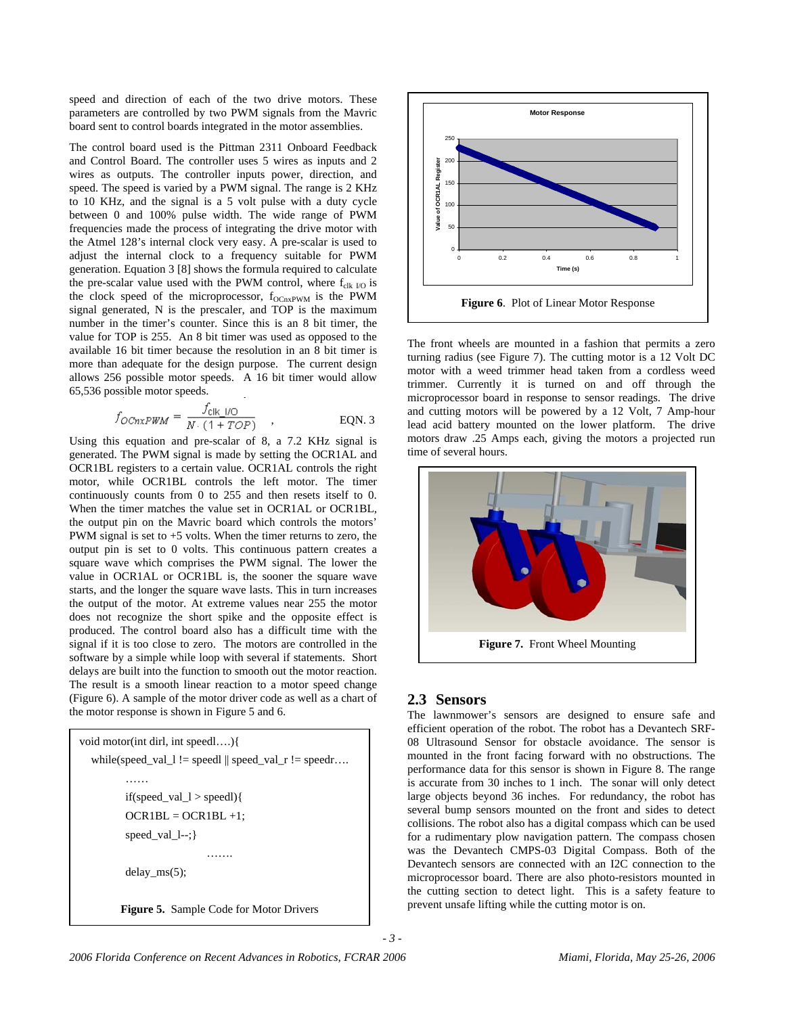speed and direction of each of the two drive motors. These parameters are controlled by two PWM signals from the Mavric board sent to control boards integrated in the motor assemblies.

The control board used is the Pittman 2311 Onboard Feedback and Control Board. The controller uses 5 wires as inputs and 2 wires as outputs. The controller inputs power, direction, and speed. The speed is varied by a PWM signal. The range is 2 KHz to 10 KHz, and the signal is a 5 volt pulse with a duty cycle between 0 and 100% pulse width. The wide range of PWM frequencies made the process of integrating the drive motor with the Atmel 128's internal clock very easy. A pre-scalar is used to adjust the internal clock to a frequency suitable for PWM generation. Equation 3 [8] shows the formula required to calculate the pre-scalar value used with the PWM control, where  $f_{clk}$   $_{l0}$  is the clock speed of the microprocessor,  $f_{OChxPWM}$  is the PWM signal generated, N is the prescaler, and TOP is the maximum number in the timer's counter. Since this is an 8 bit timer, the value for TOP is 255. An 8 bit timer was used as opposed to the available 16 bit timer because the resolution in an 8 bit timer is more than adequate for the design purpose. The current design allows 256 possible motor speeds. A 16 bit timer would allow 65,536 possible motor speeds.

$$
f_{OChxPWM} = \frac{f_{\text{c}||\text{c}}}{N \cdot (1 + TOP)} \quad , \quad \text{EQN. 3}
$$

Using this equation and pre-scalar of 8, a 7.2 KHz signal is generated. The PWM signal is made by setting the OCR1AL and OCR1BL registers to a certain value. OCR1AL controls the right motor, while OCR1BL controls the left motor. The timer continuously counts from 0 to 255 and then resets itself to 0. When the timer matches the value set in OCR1AL or OCR1BL, the output pin on the Mavric board which controls the motors' PWM signal is set to  $+5$  volts. When the timer returns to zero, the output pin is set to 0 volts. This continuous pattern creates a square wave which comprises the PWM signal. The lower the value in OCR1AL or OCR1BL is, the sooner the square wave starts, and the longer the square wave lasts. This in turn increases the output of the motor. At extreme values near 255 the motor does not recognize the short spike and the opposite effect is produced. The control board also has a difficult time with the signal if it is too close to zero. The motors are controlled in the software by a simple while loop with several if statements. Short delays are built into the function to smooth out the motor reaction. The result is a smooth linear reaction to a motor speed change (Figure 6). A sample of the motor driver code as well as a chart of the motor response is shown in Figure 5 and 6.

void motor(int dirl, int speedl….){ while(speed\_val\_l != speedl  $\parallel$  speed\_val\_r != speedr.... …… if(speed\_val\_l > speedl){  $OCR1BL = OCR1BL +1;$  speed\_val\_l--;} ……. delay\_ms(5); **Figure 5.** Sample Code for Motor Drivers



The front wheels are mounted in a fashion that permits a zero turning radius (see Figure 7). The cutting motor is a 12 Volt DC motor with a weed trimmer head taken from a cordless weed trimmer. Currently it is turned on and off through the microprocessor board in response to sensor readings. The drive and cutting motors will be powered by a 12 Volt, 7 Amp-hour lead acid battery mounted on the lower platform. The drive motors draw .25 Amps each, giving the motors a projected run time of several hours.



#### **2.3 Sensors**

The lawnmower's sensors are designed to ensure safe and efficient operation of the robot. The robot has a Devantech SRF-08 Ultrasound Sensor for obstacle avoidance. The sensor is mounted in the front facing forward with no obstructions. The performance data for this sensor is shown in Figure 8. The range is accurate from 30 inches to 1 inch. The sonar will only detect large objects beyond 36 inches. For redundancy, the robot has several bump sensors mounted on the front and sides to detect collisions. The robot also has a digital compass which can be used for a rudimentary plow navigation pattern. The compass chosen was the Devantech CMPS-03 Digital Compass. Both of the Devantech sensors are connected with an I2C connection to the microprocessor board. There are also photo-resistors mounted in the cutting section to detect light. This is a safety feature to prevent unsafe lifting while the cutting motor is on.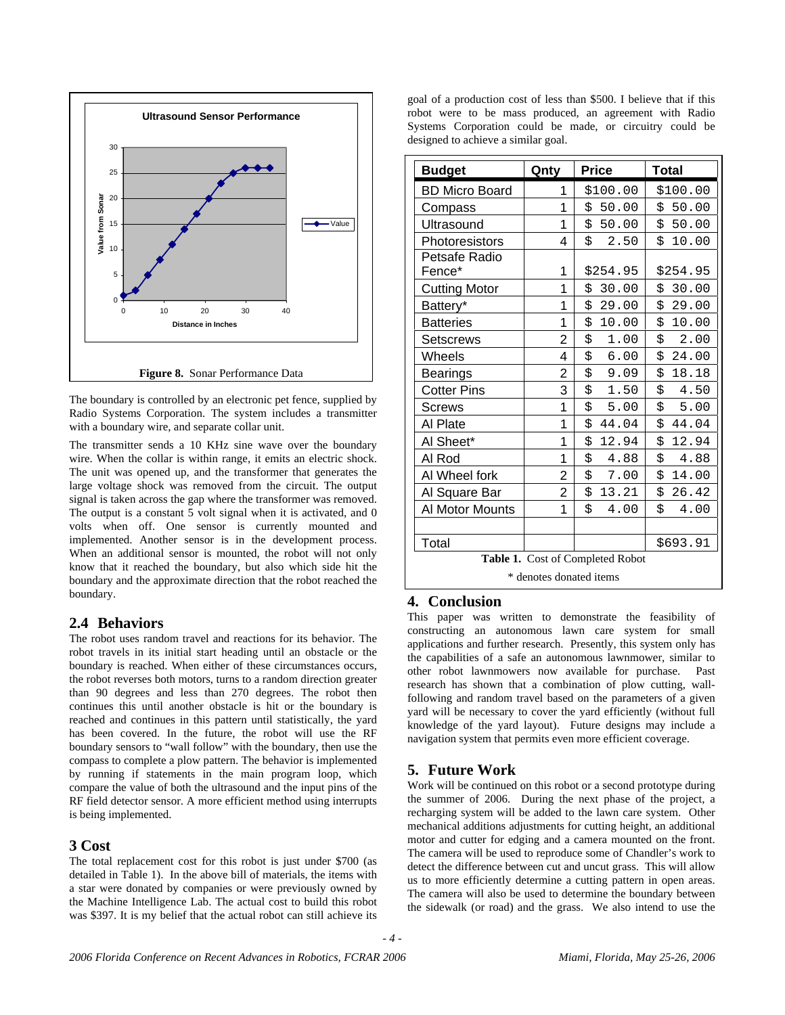

The boundary is controlled by an electronic pet fence, supplied by Radio Systems Corporation. The system includes a transmitter with a boundary wire, and separate collar unit.

The transmitter sends a 10 KHz sine wave over the boundary wire. When the collar is within range, it emits an electric shock. The unit was opened up, and the transformer that generates the large voltage shock was removed from the circuit. The output signal is taken across the gap where the transformer was removed. The output is a constant 5 volt signal when it is activated, and 0 volts when off. One sensor is currently mounted and implemented. Another sensor is in the development process. When an additional sensor is mounted, the robot will not only know that it reached the boundary, but also which side hit the boundary and the approximate direction that the robot reached the boundary.

# **2.4 Behaviors**

The robot uses random travel and reactions for its behavior. The robot travels in its initial start heading until an obstacle or the boundary is reached. When either of these circumstances occurs, the robot reverses both motors, turns to a random direction greater than 90 degrees and less than 270 degrees. The robot then continues this until another obstacle is hit or the boundary is reached and continues in this pattern until statistically, the yard has been covered. In the future, the robot will use the RF boundary sensors to "wall follow" with the boundary, then use the compass to complete a plow pattern. The behavior is implemented by running if statements in the main program loop, which compare the value of both the ultrasound and the input pins of the RF field detector sensor. A more efficient method using interrupts is being implemented.

#### **3 Cost**

The total replacement cost for this robot is just under \$700 (as detailed in Table 1). In the above bill of materials, the items with a star were donated by companies or were previously owned by the Machine Intelligence Lab. The actual cost to build this robot was \$397. It is my belief that the actual robot can still achieve its

goal of a production cost of less than \$500. I believe that if this robot were to be mass produced, an agreement with Radio Systems Corporation could be made, or circuitry could be designed to achieve a similar goal.

| <b>Budget</b>                    | Qnty           | <b>Price</b> | <b>Total</b> |
|----------------------------------|----------------|--------------|--------------|
| <b>BD Micro Board</b>            | 1              | \$100.00     | \$100.00     |
| Compass                          | 1              | \$50.00      | \$50.00      |
| Ultrasound                       | 1              | \$50.00      | \$50.00      |
| Photoresistors                   | 4              | \$<br>2.50   | \$10.00      |
| Petsafe Radio<br>Fence*          | 1              | \$254.95     | \$254.95     |
| <b>Cutting Motor</b>             | 1              | \$<br>30.00  | \$30.00      |
| Battery*                         | 1              | \$<br>29.00  | \$29.00      |
| <b>Batteries</b>                 | 1              | \$<br>10.00  | \$10.00      |
| Setscrews                        | $\overline{2}$ | \$<br>1.00   | \$<br>2.00   |
| Wheels                           | 4              | \$<br>6.00   | \$24.00      |
| <b>Bearings</b>                  | 2              | \$<br>9.09   | \$<br>18.18  |
| <b>Cotter Pins</b>               | 3              | \$<br>1.50   | \$<br>4.50   |
| Screws                           | 1              | \$<br>5.00   | \$<br>5.00   |
| Al Plate                         | 1              | \$<br>44.04  | \$44.04      |
| Al Sheet*                        | 1              | \$<br>12.94  | \$<br>12.94  |
| Al Rod                           | 1              | \$<br>4.88   | \$<br>4.88   |
| Al Wheel fork                    | 2              | \$<br>7.00   | \$14.00      |
| Al Square Bar                    | 2              | \$13.21      | \$26.42      |
| Al Motor Mounts                  | 1              | \$<br>4.00   | \$<br>4.00   |
|                                  |                |              |              |
| Total                            |                |              | \$693.91     |
| Table 1. Cost of Completed Robot |                |              |              |
| * denotes donated items          |                |              |              |

# **4. Conclusion**

This paper was written to demonstrate the feasibility of constructing an autonomous lawn care system for small applications and further research. Presently, this system only has the capabilities of a safe an autonomous lawnmower, similar to other robot lawnmowers now available for purchase. Past research has shown that a combination of plow cutting, wallfollowing and random travel based on the parameters of a given yard will be necessary to cover the yard efficiently (without full knowledge of the yard layout). Future designs may include a navigation system that permits even more efficient coverage.

# **5. Future Work**

*- 4 -* 

Work will be continued on this robot or a second prototype during the summer of 2006. During the next phase of the project, a recharging system will be added to the lawn care system. Other mechanical additions adjustments for cutting height, an additional motor and cutter for edging and a camera mounted on the front. The camera will be used to reproduce some of Chandler's work to detect the difference between cut and uncut grass. This will allow us to more efficiently determine a cutting pattern in open areas. The camera will also be used to determine the boundary between the sidewalk (or road) and the grass. We also intend to use the